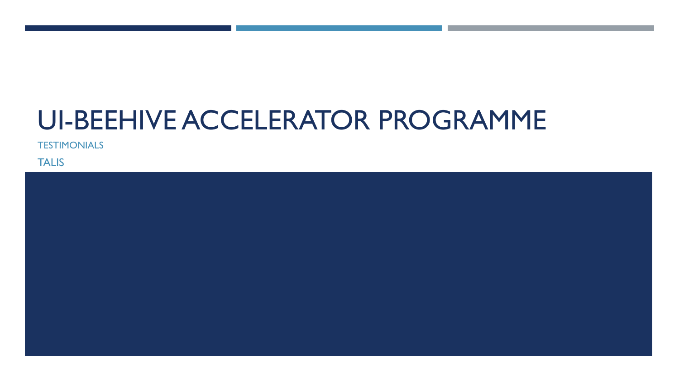## UI-BEEHIVE ACCELERATOR PROGRAMME

**TESTIMONIALS** 

**TALIS** 

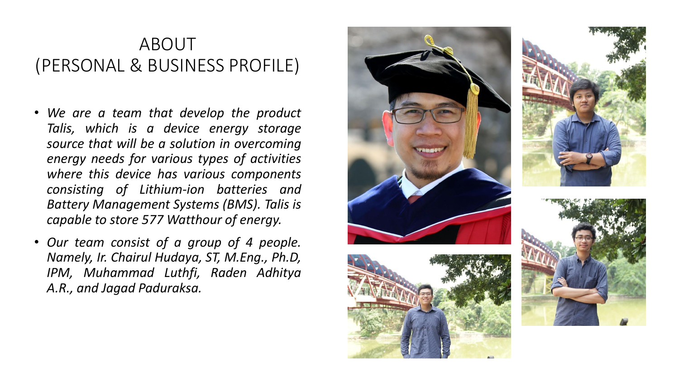## ABOUT (PERSONAL & BUSINESS PROFILE)

- *We are a team that develop the product Talis, which is a device energy storage source that will be a solution in overcoming energy needs for various types of activities where this device has various components consisting of Lithium-ion batteries and Battery Management Systems (BMS). Talis is capable to store 577 Watthour of energy.*
- *Our team consist of a group of 4 people. Namely, Ir. Chairul Hudaya, ST, M.Eng., Ph.D, IPM, Muhammad Luthfi, Raden Adhitya A.R., and Jagad Paduraksa.*





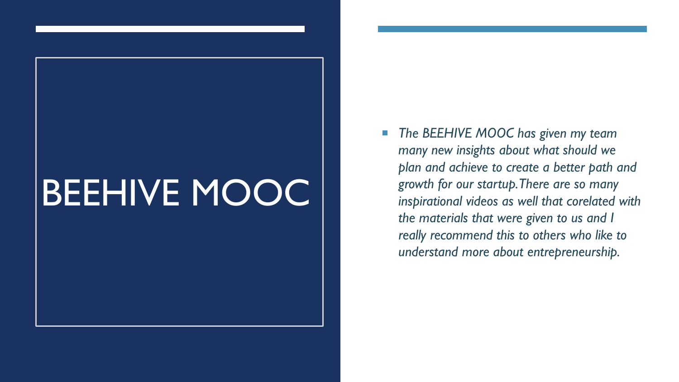## BEEHIVE MOOC

 *The BEEHIVE MOOC has given my team many new insights about what should we plan and achieve to create a better path and growth for our startup. There are so many inspirational videos as well that corelated with the materials that were given to us and I really recommend this to others who like to understand more about entrepreneurship.*